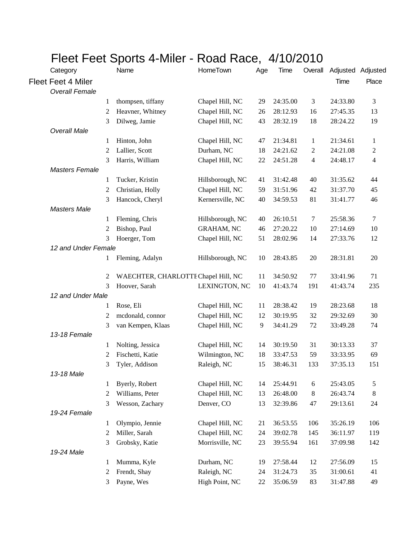|                           | FIBBL FBBL OPOILS 4-IVIIIBL - NOAU NACB, 4/TU/ZUTU |                                     |                   |     |          |              |                   |                |  |  |  |
|---------------------------|----------------------------------------------------|-------------------------------------|-------------------|-----|----------|--------------|-------------------|----------------|--|--|--|
| Category                  |                                                    | Name                                | <b>HomeTown</b>   | Age | Time     | Overall      | Adjusted Adjusted |                |  |  |  |
| <b>Fleet Feet 4 Miler</b> |                                                    |                                     |                   |     |          |              | Time              | Place          |  |  |  |
| <b>Overall Female</b>     |                                                    |                                     |                   |     |          |              |                   |                |  |  |  |
|                           | 1                                                  | thompsen, tiffany                   | Chapel Hill, NC   | 29  | 24:35.00 | 3            | 24:33.80          | 3              |  |  |  |
|                           | 2                                                  | Heavner, Whitney                    | Chapel Hill, NC   | 26  | 28:12.93 | 16           | 27:45.35          | 13             |  |  |  |
|                           | 3                                                  | Dilweg, Jamie                       | Chapel Hill, NC   | 43  | 28:32.19 | 18           | 28:24.22          | 19             |  |  |  |
| <b>Overall Male</b>       |                                                    |                                     |                   |     |          |              |                   |                |  |  |  |
|                           | 1                                                  | Hinton, John                        | Chapel Hill, NC   | 47  | 21:34.81 | $\mathbf{1}$ | 21:34.61          | 1              |  |  |  |
|                           | 2                                                  | Lallier, Scott                      | Durham, NC        | 18  | 24:21.62 | 2            | 24:21.08          | $\overline{c}$ |  |  |  |
|                           | 3                                                  | Harris, William                     | Chapel Hill, NC   | 22  | 24:51.28 | 4            | 24:48.17          | 4              |  |  |  |
| <b>Masters Female</b>     |                                                    |                                     |                   |     |          |              |                   |                |  |  |  |
|                           | 1                                                  | Tucker, Kristin                     | Hillsborough, NC  | 41  | 31:42.48 | 40           | 31:35.62          | 44             |  |  |  |
|                           | 2                                                  | Christian, Holly                    | Chapel Hill, NC   | 59  | 31:51.96 | 42           | 31:37.70          | 45             |  |  |  |
|                           | 3                                                  | Hancock, Cheryl                     | Kernersville, NC  | 40  | 34:59.53 | 81           | 31:41.77          | 46             |  |  |  |
| <b>Masters Male</b>       |                                                    |                                     |                   |     |          |              |                   |                |  |  |  |
|                           | 1                                                  | Fleming, Chris                      | Hillsborough, NC  | 40  | 26:10.51 | 7            | 25:58.36          | 7              |  |  |  |
|                           | 2                                                  | Bishop, Paul                        | <b>GRAHAM, NC</b> | 46  | 27:20.22 | 10           | 27:14.69          | 10             |  |  |  |
|                           | 3                                                  | Hoerger, Tom                        | Chapel Hill, NC   | 51  | 28:02.96 | 14           | 27:33.76          | 12             |  |  |  |
| 12 and Under Female       |                                                    |                                     |                   |     |          |              |                   |                |  |  |  |
|                           | 1                                                  | Fleming, Adalyn                     | Hillsborough, NC  | 10  | 28:43.85 | 20           | 28:31.81          | 20             |  |  |  |
|                           |                                                    |                                     |                   |     |          |              |                   |                |  |  |  |
|                           | 2                                                  | WAECHTER, CHARLOTTE Chapel Hill, NC |                   | 11  | 34:50.92 | 77           | 33:41.96          | 71             |  |  |  |
|                           | 3                                                  | Hoover, Sarah                       | LEXINGTON, NC     | 10  | 41:43.74 | 191          | 41:43.74          | 235            |  |  |  |
| 12 and Under Male         |                                                    |                                     |                   |     |          |              |                   |                |  |  |  |
|                           | 1                                                  | Rose, Eli                           | Chapel Hill, NC   | 11  | 28:38.42 | 19           | 28:23.68          | 18             |  |  |  |
|                           | 2                                                  | mcdonald, connor                    | Chapel Hill, NC   | 12  | 30:19.95 | 32           | 29:32.69          | 30             |  |  |  |
|                           | 3                                                  | van Kempen, Klaas                   | Chapel Hill, NC   | 9   | 34:41.29 | 72           | 33:49.28          | 74             |  |  |  |
| 13-18 Female              |                                                    |                                     |                   |     |          |              |                   |                |  |  |  |
|                           | 1                                                  | Nolting, Jessica                    | Chapel Hill, NC   | 14  | 30:19.50 | 31           | 30:13.33          | 37             |  |  |  |
|                           | 2                                                  | Fischetti, Katie                    | Wilmington, NC    | 18  | 33:47.53 | 59           | 33:33.95          | 69             |  |  |  |
|                           | 3                                                  | Tyler, Addison                      | Raleigh, NC       | 15  | 38:46.31 | 133          | 37:35.13          | 151            |  |  |  |
| 13-18 Male                |                                                    |                                     |                   |     |          |              |                   |                |  |  |  |
|                           | 1                                                  | Byerly, Robert                      | Chapel Hill, NC   | 14  | 25:44.91 | $\sqrt{6}$   | 25:43.05          | 5              |  |  |  |
|                           | $\overline{c}$                                     | Williams, Peter                     | Chapel Hill, NC   | 13  | 26:48.00 | 8            | 26:43.74          | 8              |  |  |  |
|                           | 3                                                  | Wesson, Zachary                     | Denver, CO        | 13  | 32:39.86 | 47           | 29:13.61          | 24             |  |  |  |
| 19-24 Female              |                                                    |                                     |                   |     |          |              |                   |                |  |  |  |
|                           | 1                                                  | Olympio, Jennie                     | Chapel Hill, NC   | 21  | 36:53.55 | 106          | 35:26.19          | 106            |  |  |  |
|                           | 2                                                  | Miller, Sarah                       | Chapel Hill, NC   | 24  | 39:02.78 | 145          | 36:11.97          | 119            |  |  |  |
|                           | 3                                                  | Grobsky, Katie                      | Morrisville, NC   | 23  | 39:55.94 | 161          | 37:09.98          | 142            |  |  |  |
| 19-24 Male                |                                                    |                                     |                   |     |          |              |                   |                |  |  |  |
|                           | 1                                                  | Mumma, Kyle                         | Durham, NC        | 19  | 27:58.44 | 12           | 27:56.09          | 15             |  |  |  |
|                           | $\overline{c}$                                     | Frendt, Shay                        | Raleigh, NC       | 24  | 31:24.73 | 35           | 31:00.61          | 41             |  |  |  |
|                           | 3                                                  | Payne, Wes                          | High Point, NC    | 22  | 35:06.59 | 83           | 31:47.88          | 49             |  |  |  |

## Fleet Feet Sports 4-Miler - Road Race, 4/10/2010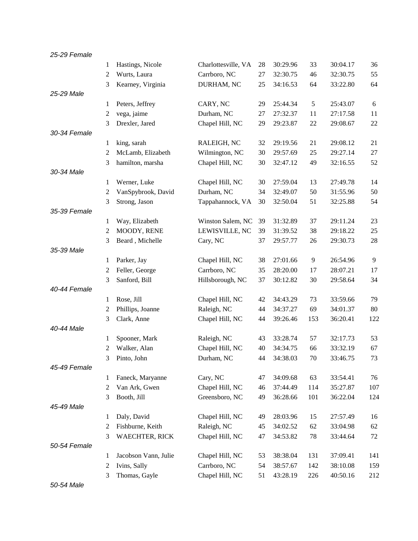| 25-29 Female |                |                                   |                                   |          |                      |           |                      |                |
|--------------|----------------|-----------------------------------|-----------------------------------|----------|----------------------|-----------|----------------------|----------------|
|              | 1              | Hastings, Nicole                  | Charlottesville, VA               | 28       | 30:29.96             | 33        | 30:04.17             | 36             |
|              | 2              | Wurts, Laura                      | Carrboro, NC                      | 27       | 32:30.75             | 46        | 32:30.75             | 55             |
|              | 3              | Kearney, Virginia                 | DURHAM, NC                        | 25       | 34:16.53             | 64        | 33:22.80             | 64             |
| 25-29 Male   |                |                                   |                                   |          |                      |           |                      |                |
|              | 1              | Peters, Jeffrey                   | CARY, NC                          | 29       | 25:44.34             | 5         | 25:43.07             | $\sqrt{6}$     |
|              | 2              | vega, jaime                       | Durham, NC                        | 27       | 27:32.37             | 11        | 27:17.58             | 11             |
|              | 3              | Drexler, Jared                    | Chapel Hill, NC                   | 29       | 29:23.87             | 22        | 29:08.67             | 22             |
| 30-34 Female |                |                                   |                                   |          |                      |           |                      |                |
|              | 1              | king, sarah                       | RALEIGH, NC                       | 32       | 29:19.56             | 21        | 29:08.12             | 21             |
|              | 2              | McLamb, Elizabeth                 | Wilmington, NC                    | 30       | 29:57.69             | 25        | 29:27.14             | 27             |
|              | 3              | hamilton, marsha                  | Chapel Hill, NC                   | 30       | 32:47.12             | 49        | 32:16.55             | 52             |
| 30-34 Male   |                |                                   |                                   |          |                      |           |                      |                |
|              | 1              | Werner, Luke                      | Chapel Hill, NC                   | 30       | 27:59.04             | 13        | 27:49.78             | 14             |
|              | 2              | VanSpybrook, David                | Durham, NC                        | 34       | 32:49.07             | 50        | 31:55.96             | 50             |
|              | 3              | Strong, Jason                     | Tappahannock, VA                  | 30       | 32:50.04             | 51        | 32:25.88             | 54             |
| 35-39 Female |                |                                   |                                   |          |                      |           |                      |                |
|              | 1              | Way, Elizabeth                    | Winston Salem, NC                 | 39       | 31:32.89             | 37        | 29:11.24             | 23             |
|              | 2              | MOODY, RENE                       | LEWISVILLE, NC                    | 39       | 31:39.52             | 38        | 29:18.22             | 25             |
|              | 3              | Beard, Michelle                   | Cary, NC                          | 37       | 29:57.77             | 26        | 29:30.73             | 28             |
| 35-39 Male   |                |                                   |                                   |          |                      |           |                      |                |
|              | 1              | Parker, Jay                       | Chapel Hill, NC                   | 38       | 27:01.66             | 9         | 26:54.96             | $\overline{9}$ |
|              | 2              | Feller, George                    | Carrboro, NC                      | 35       | 28:20.00             | 17        | 28:07.21             | 17             |
|              | 3              | Sanford, Bill                     | Hillsborough, NC                  | 37       | 30:12.82             | 30        | 29:58.64             | 34             |
| 40-44 Female |                |                                   |                                   |          |                      |           |                      |                |
|              | 1              | Rose, Jill                        | Chapel Hill, NC                   | 42       | 34:43.29             | 73        | 33:59.66             | 79             |
|              | 2              | Phillips, Joanne                  | Raleigh, NC                       | 44       | 34:37.27             | 69        | 34:01.37             | 80             |
|              | 3              | Clark, Anne                       | Chapel Hill, NC                   | 44       | 39:26.46             | 153       | 36:20.41             | 122            |
| 40-44 Male   |                |                                   |                                   |          |                      |           |                      |                |
|              | 1              | Spooner, Mark                     | Raleigh, NC                       | 43       | 33:28.74             | 57        | 32:17.73             | 53             |
|              | $\overline{2}$ | Walker, Alan                      | Chapel Hill, NC                   | 40       | 34:34.75             | 66        | 33:32.19             | 67             |
| 45-49 Female | $\mathfrak{Z}$ | Pinto, John                       | Durham, NC                        | 44       | 34:38.03             | $70\,$    | 33:46.75             | 73             |
|              |                |                                   |                                   |          |                      |           |                      |                |
|              | 1<br>2         | Faneck, Maryanne<br>Van Ark, Gwen | Cary, NC                          | 47<br>46 | 34:09.68<br>37:44.49 | 63<br>114 | 33:54.41<br>35:27.87 | 76<br>107      |
|              |                | Booth, Jill                       | Chapel Hill, NC<br>Greensboro, NC | 49       | 36:28.66             | 101       | 36:22.04             | 124            |
| 45-49 Male   | 3              |                                   |                                   |          |                      |           |                      |                |
|              | 1              | Daly, David                       | Chapel Hill, NC                   | 49       | 28:03.96             | 15        | 27:57.49             | 16             |
|              | 2              | Fishburne, Keith                  | Raleigh, NC                       | 45       | 34:02.52             | 62        | 33:04.98             | 62             |
|              | 3              | <b>WAECHTER, RICK</b>             | Chapel Hill, NC                   | 47       | 34:53.82             | 78        | 33:44.64             | $72\,$         |
| 50-54 Female |                |                                   |                                   |          |                      |           |                      |                |
|              | 1              | Jacobson Vann, Julie              | Chapel Hill, NC                   | 53       | 38:38.04             | 131       | 37:09.41             | 141            |
|              | 2              | Ivins, Sally                      | Carrboro, NC                      | 54       | 38:57.67             | 142       | 38:10.08             | 159            |
|              | 3              | Thomas, Gayle                     | Chapel Hill, NC                   | 51       | 43:28.19             | 226       | 40:50.16             | 212            |
|              |                |                                   |                                   |          |                      |           |                      |                |